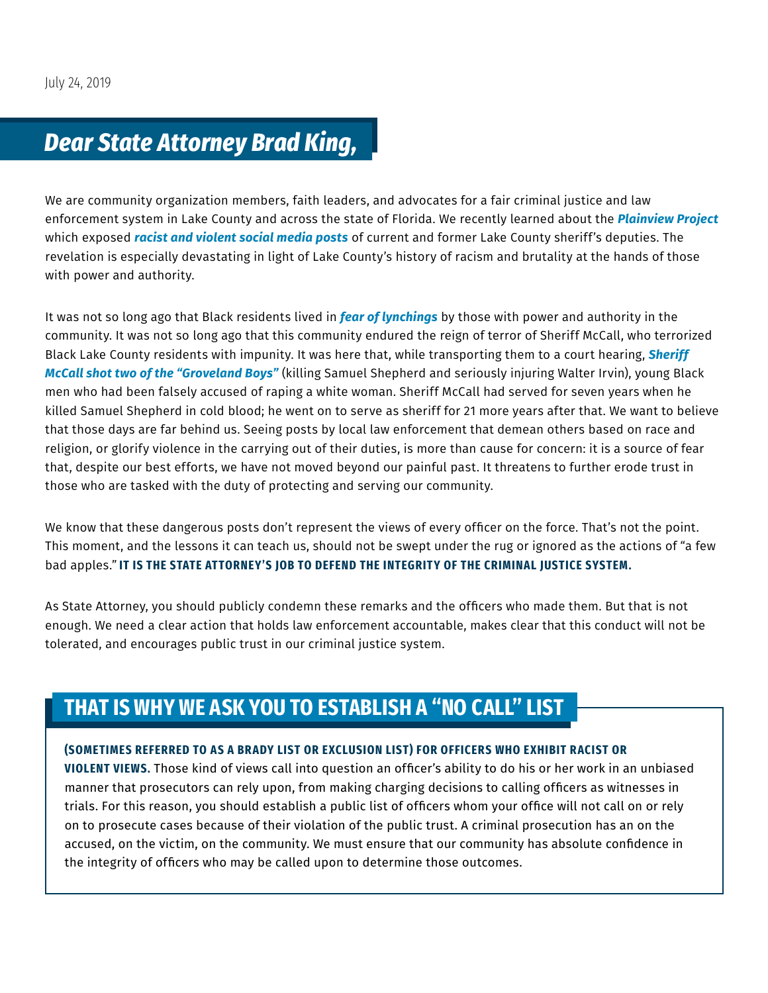# *Dear State Attorney Brad King,*

We are community organization members, faith leaders, and advocates for a fair criminal justice and law enforcement system in Lake County and across the state of Florida. We recently learned about the *[Plainview Project](https://www.plainviewproject.org/data?city=lake_county)* which exposed *[racist and violent social media posts](https://www.orlandosentinel.com/opinion/editorials/os-op-lake-county-deputies-facebook-posts-plain-view-project-20190627-ynvw2u2f3vfita3eudbyunjb4y-story.html)* of current and former Lake County sheriff's deputies. The revelation is especially devastating in light of Lake County's history of racism and brutality at the hands of those with power and authority.

It was not so long ago that Black residents lived in *[fear of lynchings](https://www.browardpalmbeach.com/news/florida-lynched-more-black-people-per-capita-than-any-other-state-according-to-report-6470940)* by those with power and authority in the community. It was not so long ago that this community endured the reign of terror of Sheriff McCall, who terrorized Black Lake County residents with impunity. It was here that, while transporting them to a court hearing, *[Sheriff](https://www.miamiherald.com/news/local/community/miami-dade/community-voices/article224640275.html)  [McCall shot two of the "Groveland Boys"](https://www.miamiherald.com/news/local/community/miami-dade/community-voices/article224640275.html)* (killing Samuel Shepherd and seriously injuring Walter Irvin), young Black men who had been falsely accused of raping a white woman. Sheriff McCall had served for seven years when he killed Samuel Shepherd in cold blood; he went on to serve as sheriff for 21 more years after that. We want to believe that those days are far behind us. Seeing posts by local law enforcement that demean others based on race and religion, or glorify violence in the carrying out of their duties, is more than cause for concern: it is a source of fear that, despite our best efforts, we have not moved beyond our painful past. It threatens to further erode trust in those who are tasked with the duty of protecting and serving our community.

We know that these dangerous posts don't represent the views of every officer on the force. That's not the point. This moment, and the lessons it can teach us, should not be swept under the rug or ignored as the actions of "a few bad apples." **IT IS THE STATE ATTORNEY'S JOB TO DEFEND THE INTEGRITY OF THE CRIMINAL JUSTICE SYSTEM.**

As State Attorney, you should publicly condemn these remarks and the officers who made them. But that is not enough. We need a clear action that holds law enforcement accountable, makes clear that this conduct will not be tolerated, and encourages public trust in our criminal justice system.

# **THAT IS WHY WE ASK YOU TO ESTABLISH A "NO CALL" LIST**

## (SOMETIMES REFERRED TO AS A BRADY LIST OR EXCLUSION LIST) FOR OFFICERS WHO EXHIBIT RACIST OR

**VIOLENT VIEWS.** Those kind of views call into question an officer's ability to do his or her work in an unbiased manner that prosecutors can rely upon, from making charging decisions to calling officers as witnesses in trials. For this reason, you should establish a public list of officers whom your office will not call on or rely on to prosecute cases because of their violation of the public trust. A criminal prosecution has an on the accused, on the victim, on the community. We must ensure that our community has absolute confidence in the integrity of officers who may be called upon to determine those outcomes.